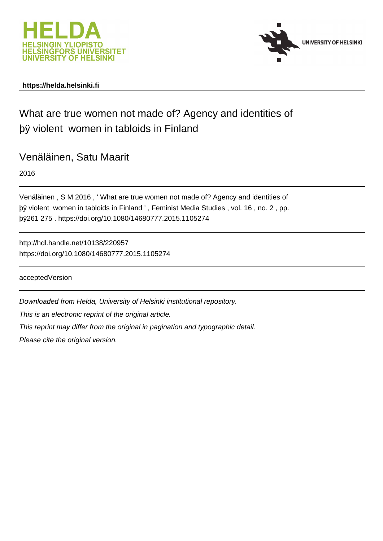



# **https://helda.helsinki.fi**

# What are true women not made of? Agency and identities of þÿ violent women in tabloids in Finland

Venäläinen, Satu Maarit

2016

```
Venäläinen , S M 2016 , ' What are true women not made of? Agency and identities of
þÿ violent women in tabloids in Finland ', Feminist Media Studies, vol
þÿ261 275 . https://doi.org/10.1080/14680777.2015.1105274
```
http://hdl.handle.net/10138/220957 https://doi.org/10.1080/14680777.2015.1105274

acceptedVersion

Downloaded from Helda, University of Helsinki institutional repository.

This is an electronic reprint of the original article.

This reprint may differ from the original in pagination and typographic detail.

Please cite the original version.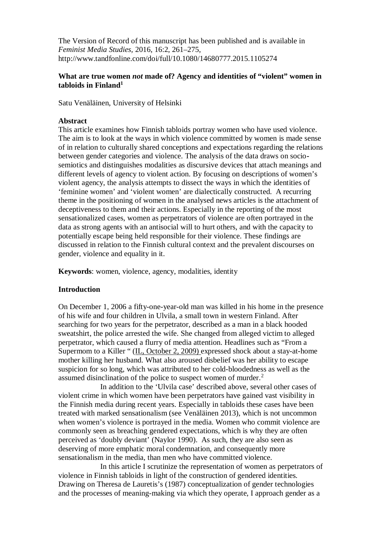The Version of Record of this manuscript has been published and is available in *Feminist Media Studies,* 2016, 16:2, 261–275, http://www.tandfonline.com/doi/full/10.1080/14680777.2015.1105274

## **What are true women** *not* **made of? Agency and identities of "violent" women in tabloids in Finland[1](#page-12-0)**

Satu Venäläinen, University of Helsinki

## **Abstract**

This article examines how Finnish tabloids portray women who have used violence. The aim is to look at the ways in which violence committed by women is made sense of in relation to culturally shared conceptions and expectations regarding the relations between gender categories and violence. The analysis of the data draws on sociosemiotics and distinguishes modalities as discursive devices that attach meanings and different levels of agency to violent action. By focusing on descriptions of women's violent agency, the analysis attempts to dissect the ways in which the identities of 'feminine women' and 'violent women' are dialectically constructed. A recurring theme in the positioning of women in the analysed news articles is the attachment of deceptiveness to them and their actions. Especially in the reporting of the most sensationalized cases, women as perpetrators of violence are often portrayed in the data as strong agents with an antisocial will to hurt others, and with the capacity to potentially escape being held responsible for their violence. These findings are discussed in relation to the Finnish cultural context and the prevalent discourses on gender, violence and equality in it.

**Keywords**: women, violence, agency, modalities, identity

## **Introduction**

On December 1, 2006 a fifty-one-year-old man was killed in his home in the presence of his wife and four children in Ulvila, a small town in western Finland. After searching for two years for the perpetrator, described as a man in a black hooded sweatshirt, the police arrested the wife. She changed from alleged victim to alleged perpetrator, which caused a flurry of media attention. Headlines such as "From a Supermom to a Killer " (IL, October 2, 2009) expressed shock about a stay-at-home mother killing her husband. What also aroused disbelief was her ability to escape suspicion for so long, which was attributed to her cold-bloodedness as well as the assumed disinclination of the police to suspect women of murder.<sup>[2](#page-13-0)</sup>

In addition to the 'Ulvila case' described above, several other cases of violent crime in which women have been perpetrators have gained vast visibility in the Finnish media during recent years. Especially in tabloids these cases have been treated with marked sensationalism (see Venäläinen 2013), which is not uncommon when women's violence is portrayed in the media. Women who commit violence are commonly seen as breaching gendered expectations, which is why they are often perceived as 'doubly deviant' (Naylor 1990). As such, they are also seen as deserving of more emphatic moral condemnation, and consequently more sensationalism in the media, than men who have committed violence.

In this article I scrutinize the representation of women as perpetrators of violence in Finnish tabloids in light of the construction of gendered identities. Drawing on Theresa de Lauretis's (1987) conceptualization of gender technologies and the processes of meaning-making via which they operate, I approach gender as a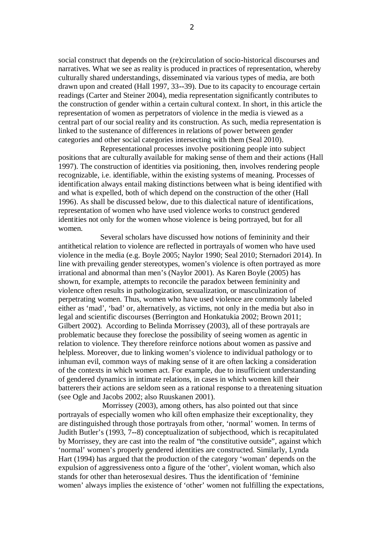social construct that depends on the (re)circulation of socio**-**historical discourses and narratives. What we see as reality is produced in practices of representation, whereby culturally shared understandings, disseminated via various types of media, are both drawn upon and created (Hall 1997, 33**--**39). Due to its capacity to encourage certain readings (Carter and Steiner 2004), media representation significantly contributes to the construction of gender within a certain cultural context. In short, in this article the representation of women as perpetrators of violence in the media is viewed as a central part of our social reality and its construction. As such, media representation is linked to the sustenance of differences in relations of power between gender categories and other social categories intersecting with them (Seal 2010).

Representational processes involve positioning people into subject positions that are culturally available for making sense of them and their actions (Hall 1997). The construction of identities via positioning, then, involves rendering people recognizable, i.e. identifiable, within the existing systems of meaning. Processes of identification always entail making distinctions between what is being identified with and what is expelled, both of which depend on the construction of the other (Hall 1996). As shall be discussed below, due to this dialectical nature of identifications, representation of women who have used violence works to construct gendered identities not only for the women whose violence is being portrayed, but for all women.

Several scholars have discussed how notions of femininity and their antithetical relation to violence are reflected in portrayals of women who have used violence in the media (e.g. Boyle 2005; Naylor 1990; Seal 2010; Sternadori 2014). In line with prevailing gender stereotypes, women's violence is often portrayed as more irrational and abnormal than men's (Naylor 2001). As Karen Boyle (2005) has shown, for example, attempts to reconcile the paradox between femininity and violence often results in pathologization, sexualization, or masculinization of perpetrating women. Thus, women who have used violence are commonly labeled either as 'mad', 'bad' or, alternatively, as victims, not only in the media but also in legal and scientific discourses (Berrington and Honkatukia 2002; Brown 2011; Gilbert 2002). According to Belinda Morrissey (2003), all of these portrayals are problematic because they foreclose the possibility of seeing women as agentic in relation to violence. They therefore reinforce notions about women as passive and helpless. Moreover, due to linking women's violence to individual pathology or to inhuman evil, common ways of making sense of it are often lacking a consideration of the contexts in which women act. For example, due to insufficient understanding of gendered dynamics in intimate relations, in cases in which women kill their batterers their actions are seldom seen as a rational response to a threatening situation (see Ogle and Jacobs 2002; also Ruuskanen 2001).

 Morrissey (2003), among others, has also pointed out that since portrayals of especially women who kill often emphasize their exceptionality, they are distinguished through those portrayals from other, 'normal' women. In terms of Judith Butler's (1993, 7**--**8) conceptualization of subjecthood, which is recapitulated by Morrissey, they are cast into the realm of "the constitutive outside", against which 'normal' women's properly gendered identities are constructed. Similarly, Lynda Hart (1994) has argued that the production of the category 'woman' depends on the expulsion of aggressiveness onto a figure of the 'other', violent woman, which also stands for other than heterosexual desires. Thus the identification of 'feminine women' always implies the existence of 'other' women not fulfilling the expectations,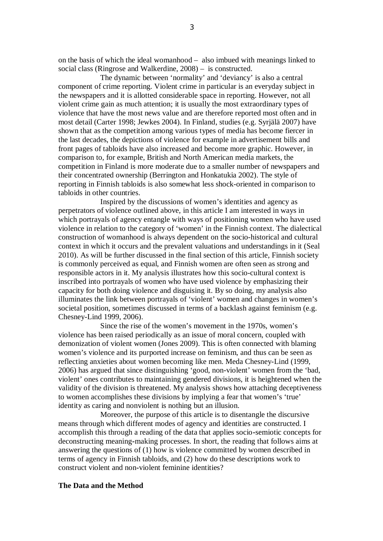on the basis of which the ideal womanhood – also imbued with meanings linked to social class (Ringrose and Walkerdine, 2008) – is constructed.

The dynamic between 'normality' and 'deviancy' is also a central component of crime reporting. Violent crime in particular is an everyday subject in the newspapers and it is allotted considerable space in reporting. However, not all violent crime gain as much attention; it is usually the most extraordinary types of violence that have the most news value and are therefore reported most often and in most detail (Carter 1998; Jewkes 2004). In Finland, studies (e.g. Syrjälä 2007) have shown that as the competition among various types of media has become fiercer in the last decades, the depictions of violence for example in advertisement bills and front pages of tabloids have also increased and become more graphic. However, in comparison to, for example, British and North American media markets, the competition in Finland is more moderate due to a smaller number of newspapers and their concentrated ownership (Berrington and Honkatukia 2002). The style of reporting in Finnish tabloids is also somewhat less shock-oriented in comparison to tabloids in other countries.

Inspired by the discussions of women's identities and agency as perpetrators of violence outlined above, in this article I am interested in ways in which portrayals of agency entangle with ways of positioning women who have used violence in relation to the category of 'women' in the Finnish context. The dialectical construction of womanhood is always dependent on the socio-historical and cultural context in which it occurs and the prevalent valuations and understandings in it (Seal 2010). As will be further discussed in the final section of this article, Finnish society is commonly perceived as equal, and Finnish women are often seen as strong and responsible actors in it. My analysis illustrates how this socio-cultural context is inscribed into portrayals of women who have used violence by emphasizing their capacity for both doing violence and disguising it. By so doing, my analysis also illuminates the link between portrayals of 'violent' women and changes in women's societal position, sometimes discussed in terms of a backlash against feminism (e.g. Chesney-Lind 1999, 2006).

Since the rise of the women's movement in the 1970s, women's violence has been raised periodically as an issue of moral concern, coupled with demonization of violent women (Jones 2009). This is often connected with blaming women's violence and its purported increase on feminism, and thus can be seen as reflecting anxieties about women becoming like men. Meda Chesney-Lind (1999, 2006) has argued that since distinguishing 'good, non-violent' women from the 'bad, violent' ones contributes to maintaining gendered divisions, it is heightened when the validity of the division is threatened. My analysis shows how attaching deceptiveness to women accomplishes these divisions by implying a fear that women's 'true' identity as caring and nonviolent is nothing but an illusion.

Moreover, the purpose of this article is to disentangle the discursive means through which different modes of agency and identities are constructed. I accomplish this through a reading of the data that applies socio**-**semiotic concepts for deconstructing meaning**-**making processes. In short, the reading that follows aims at answering the questions of (1) how is violence committed by women described in terms of agency in Finnish tabloids, and (2) how do these descriptions work to construct violent and non**-**violent feminine identities?

### **The Data and the Method**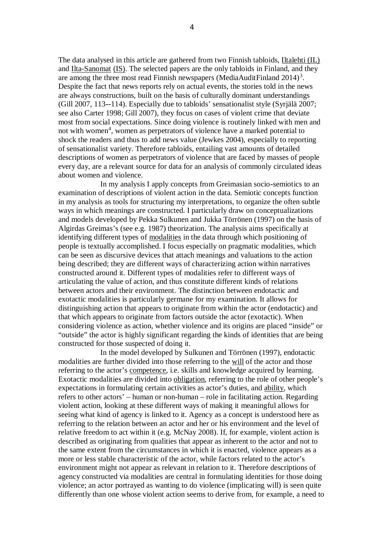The data analysed in this article are gathered from two Finnish tabloids, Iltalehti (IL) and Ilta-Sanomat (IS). The selected papers are the only tabloids in Finland, and they are among the three most read Finnish newspapers (MediaAuditFinland  $2014$ )<sup>[3](#page-13-1)</sup>. Despite the fact that news reports rely on actual events, the stories told in the news are always constructions, built on the basis of culturally dominant understandings (Gill 2007, 113**--**114). Especially due to tabloids' sensationalist style (Syrjälä 2007; see also Carter 1998; Gill 2007), they focus on cases of violent crime that deviate most from social expectations. Since doing violence is routinely linked with men and not with women<sup>[4](#page-13-2)</sup>, women as perpetrators of violence have a marked potential to shock the readers and thus to add news value (Jewkes 2004), especially to reporting of sensationalist variety. Therefore tabloids, entailing vast amounts of detailed descriptions of women as perpetrators of violence that are faced by masses of people every day, are a relevant source for data for an analysis of commonly circulated ideas about women and violence.

In my analysis I apply concepts from Greimasian socio**-**semiotics to an examination of descriptions of violent action in the data. Semiotic concepts function in my analysis as tools for structuring my interpretations, to organize the often subtle ways in which meanings are constructed. I particularly draw on conceptualizations and models developed by Pekka Sulkunen and Jukka Törrönen (1997) on the basis of Algirdas Greimas's (see e.g. 1987) theorization. The analysis aims specifically at identifying different types of modalities in the data through which positioning of people is textually accomplished. I focus especially on pragmatic modalities, which can be seen as discursive devices that attach meanings and valuations to the action being described; they are different ways of characterizing action within narratives constructed around it. Different types of modalities refer to different ways of articulating the value of action, and thus constitute different kinds of relations between actors and their environment. The distinction between endotactic and exotactic modalities is particularly germane for my examination. It allows for distinguishing action that appears to originate from within the actor (endotactic) and that which appears to originate from factors outside the actor (exotactic). When considering violence as action, whether violence and its origins are placed "inside" or "outside" the actor is highly significant regarding the kinds of identities that are being constructed for those suspected of doing it.

In the model developed by Sulkunen and Törrönen (1997), endotactic modalities are further divided into those referring to the will of the actor and those referring to the actor's competence, i.e. skills and knowledge acquired by learning. Exotactic modalities are divided into obligation, referring to the role of other people's expectations in formulating certain activities as actor's duties, and ability, which refers to other actors' – human or non-human – role in facilitating action. Regarding violent action, looking at these different ways of making it meaningful allows for seeing what kind of agency is linked to it. Agency as a concept is understood here as referring to the relation between an actor and her or his environment and the level of relative freedom to act within it (e.g. McNay 2008). If, for example, violent action is described as originating from qualities that appear as inherent to the actor and not to the same extent from the circumstances in which it is enacted, violence appears as a more or less stable characteristic of the actor, while factors related to the actor's environment might not appear as relevant in relation to it. Therefore descriptions of agency constructed via modalities are central in formulating identities for those doing violence; an actor portrayed as wanting to do violence (implicating will) is seen quite differently than one whose violent action seems to derive from, for example, a need to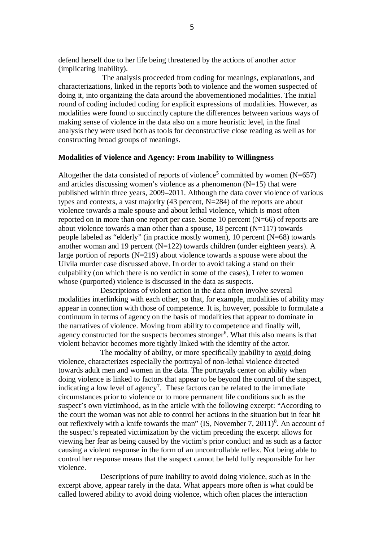defend herself due to her life being threatened by the actions of another actor (implicating inability).

 The analysis proceeded from coding for meanings, explanations, and characterizations, linked in the reports both to violence and the women suspected of doing it, into organizing the data around the abovementioned modalities. The initial round of coding included coding for explicit expressions of modalities. However, as modalities were found to succinctly capture the differences between various ways of making sense of violence in the data also on a more heuristic level, in the final analysis they were used both as tools for deconstructive close reading as well as for constructing broad groups of meanings.

### **Modalities of Violence and Agency: From Inability to Willingness**

Altogether the data consisted of reports of violence<sup>[5](#page-13-3)</sup> committed by women (N=657) and articles discussing women's violence as a phenomenon  $(N=15)$  that were published within three years, 2009–2011. Although the data cover violence of various types and contexts, a vast majority (43 percent, N=284) of the reports are about violence towards a male spouse and about lethal violence, which is most often reported on in more than one report per case. Some 10 percent (N=66) of reports are about violence towards a man other than a spouse,  $18$  percent (N=117) towards people labeled as "elderly" (in practice mostly women), 10 percent (N=68) towards another woman and 19 percent (N=122) towards children (under eighteen years). A large portion of reports  $(N=219)$  about violence towards a spouse were about the Ulvila murder case discussed above. In order to avoid taking a stand on their culpability (on which there is no verdict in some of the cases), I refer to women whose (purported) violence is discussed in the data as suspects.

Descriptions of violent action in the data often involve several modalities interlinking with each other, so that, for example, modalities of ability may appear in connection with those of competence. It is, however, possible to formulate a continuum in terms of agency on the basis of modalities that appear to dominate in the narratives of violence. Moving from ability to competence and finally will, agency constructed for the suspects becomes stronger<sup>[6](#page-13-4)</sup>. What this also means is that violent behavior becomes more tightly linked with the identity of the actor.

The modality of ability, or more specifically inability to avoid doing violence, characterizes especially the portrayal of non**-**lethal violence directed towards adult men and women in the data. The portrayals center on ability when doing violence is linked to factors that appear to be beyond the control of the suspect, indicating a low level of agency<sup>[7](#page-13-5)</sup>. These factors can be related to the immediate circumstances prior to violence or to more permanent life conditions such as the suspect's own victimhood, as in the article with the following excerpt: "According to the court the woman was not able to control her actions in the situation but in fear hit out reflexively with a knife towards the man" ( $IS$ , November 7, 2011)<sup>[8](#page-13-6)</sup>. An account of the suspect's repeated victimization by the victim preceding the excerpt allows for viewing her fear as being caused by the victim's prior conduct and as such as a factor causing a violent response in the form of an uncontrollable reflex. Not being able to control her response means that the suspect cannot be held fully responsible for her violence.

Descriptions of pure inability to avoid doing violence, such as in the excerpt above, appear rarely in the data. What appears more often is what could be called lowered ability to avoid doing violence, which often places the interaction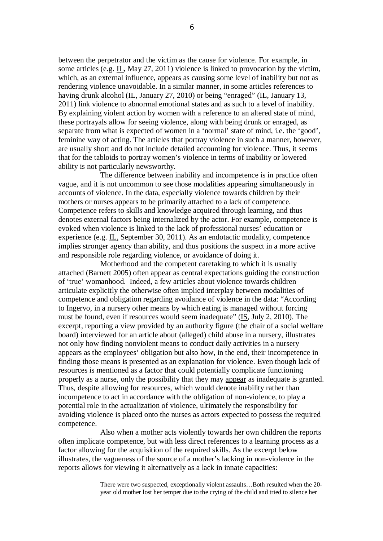between the perpetrator and the victim as the cause for violence. For example, in some articles (e.g. IL, May 27, 2011) violence is linked to provocation by the victim, which, as an external influence, appears as causing some level of inability but not as rendering violence unavoidable. In a similar manner, in some articles references to having drunk alcohol (IL, January 27, 2010) or being "enraged" (IL, January 13, 2011) link violence to abnormal emotional states and as such to a level of inability. By explaining violent action by women with a reference to an altered state of mind, these portrayals allow for seeing violence, along with being drunk or enraged, as separate from what is expected of women in a 'normal' state of mind, i.e. the 'good', feminine way of acting. The articles that portray violence in such a manner, however, are usually short and do not include detailed accounting for violence. Thus, it seems that for the tabloids to portray women's violence in terms of inability or lowered ability is not particularly newsworthy.

The difference between inability and incompetence is in practice often vague, and it is not uncommon to see those modalities appearing simultaneously in accounts of violence. In the data, especially violence towards children by their mothers or nurses appears to be primarily attached to a lack of competence. Competence refers to skills and knowledge acquired through learning, and thus denotes external factors being internalized by the actor. For example, competence is evoked when violence is linked to the lack of professional nurses' education or experience (e.g. IL, September 30, 2011). As an endotactic modality, competence implies stronger agency than ability, and thus positions the suspect in a more active and responsible role regarding violence, or avoidance of doing it.

Motherhood and the competent caretaking to which it is usually attached (Barnett 2005) often appear as central expectations guiding the construction of 'true' womanhood. Indeed, a few articles about violence towards children articulate explicitly the otherwise often implied interplay between modalities of competence and obligation regarding avoidance of violence in the data: "According to Ingervo, in a nursery other means by which eating is managed without forcing must be found, even if resources would seem inadequate" (IS, July 2, 2010). The excerpt, reporting a view provided by an authority figure (the chair of a social welfare board) interviewed for an article about (alleged) child abuse in a nursery, illustrates not only how finding nonviolent means to conduct daily activities in a nursery appears as the employees' obligation but also how, in the end, their incompetence in finding those means is presented as an explanation for violence. Even though lack of resources is mentioned as a factor that could potentially complicate functioning properly as a nurse, only the possibility that they may appear as inadequate is granted. Thus, despite allowing for resources, which would denote inability rather than incompetence to act in accordance with the obligation of non-violence, to play a potential role in the actualization of violence, ultimately the responsibility for avoiding violence is placed onto the nurses as actors expected to possess the required competence.

Also when a mother acts violently towards her own children the reports often implicate competence, but with less direct references to a learning process as a factor allowing for the acquisition of the required skills. As the excerpt below illustrates, the vagueness of the source of a mother's lacking in non-violence in the reports allows for viewing it alternatively as a lack in innate capacities:

> There were two suspected, exceptionally violent assaults…Both resulted when the 20 year old mother lost her temper due to the crying of the child and tried to silence her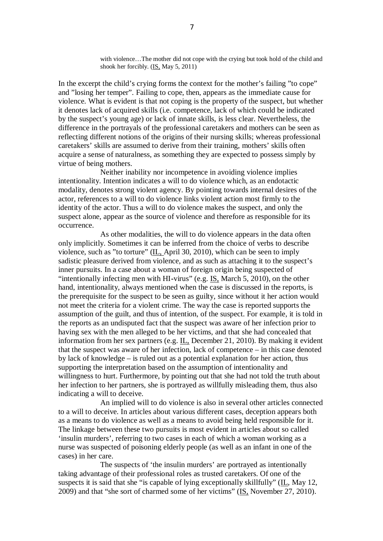with violence…The mother did not cope with the crying but took hold of the child and shook her forcibly. (IS, May 5, 2011)

In the excerpt the child's crying forms the context for the mother's failing "to cope" and "losing her temper". Failing to cope, then, appears as the immediate cause for violence. What is evident is that not coping is the property of the suspect, but whether it denotes lack of acquired skills (i.e. competence, lack of which could be indicated by the suspect's young age) or lack of innate skills, is less clear. Nevertheless, the difference in the portrayals of the professional caretakers and mothers can be seen as reflecting different notions of the origins of their nursing skills; whereas professional caretakers' skills are assumed to derive from their training, mothers' skills often acquire a sense of naturalness, as something they are expected to possess simply by virtue of being mothers.

Neither inability nor incompetence in avoiding violence implies intentionality. Intention indicates a will to do violence which, as an endotactic modality, denotes strong violent agency. By pointing towards internal desires of the actor, references to a will to do violence links violent action most firmly to the identity of the actor. Thus a will to do violence makes the suspect, and only the suspect alone, appear as the source of violence and therefore as responsible for its occurrence.

As other modalities, the will to do violence appears in the data often only implicitly. Sometimes it can be inferred from the choice of verbs to describe violence, such as "to torture"  $(\underline{\text{IL}}$ , April 30, 2010), which can be seen to imply sadistic pleasure derived from violence, and as such as attaching it to the suspect's inner pursuits. In a case about a woman of foreign origin being suspected of "intentionally infecting men with HI**-**virus" (e.g. IS, March 5, 2010), on the other hand, intentionality, always mentioned when the case is discussed in the reports, is the prerequisite for the suspect to be seen as guilty, since without it her action would not meet the criteria for a violent crime. The way the case is reported supports the assumption of the guilt, and thus of intention, of the suspect. For example, it is told in the reports as an undisputed fact that the suspect was aware of her infection prior to having sex with the men alleged to be her victims, and that she had concealed that information from her sex partners (e.g. IL, December 21, 2010). By making it evident that the suspect was aware of her infection, lack of competence – in this case denoted by lack of knowledge – is ruled out as a potential explanation for her action, thus supporting the interpretation based on the assumption of intentionality and willingness to hurt. Furthermore, by pointing out that she had not told the truth about her infection to her partners, she is portrayed as willfully misleading them, thus also indicating a will to deceive.

An implied will to do violence is also in several other articles connected to a will to deceive. In articles about various different cases, deception appears both as a means to do violence as well as a means to avoid being held responsible for it. The linkage between these two pursuits is most evident in articles about so called 'insulin murders', referring to two cases in each of which a woman working as a nurse was suspected of poisoning elderly people (as well as an infant in one of the cases) in her care.

The suspects of 'the insulin murders' are portrayed as intentionally taking advantage of their professional roles as trusted caretakers. Of one of the suspects it is said that she "is capable of lying exceptionally skillfully" (IL, May 12, 2009) and that "she sort of charmed some of her victims" (IS, November 27, 2010).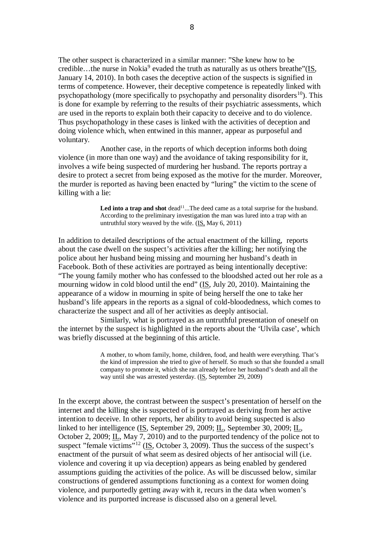The other suspect is characterized in a similar manner: "She knew how to be credible...the nurse in Nokia<sup>[9](#page-13-7)</sup> evaded the truth as naturally as us others breathe"( $\underline{IS}$ , January 14, 2010). In both cases the deceptive action of the suspects is signified in terms of competence. However, their deceptive competence is repeatedly linked with psychopathology (more specifically to psychopathy and personality disorders<sup>[10](#page-13-8)</sup>). This is done for example by referring to the results of their psychiatric assessments, which are used in the reports to explain both their capacity to deceive and to do violence. Thus psychopathology in these cases is linked with the activities of deception and doing violence which, when entwined in this manner, appear as purposeful and voluntary.

Another case, in the reports of which deception informs both doing violence (in more than one way) and the avoidance of taking responsibility for it, involves a wife being suspected of murdering her husband. The reports portray a desire to protect a secret from being exposed as the motive for the murder. Moreover, the murder is reported as having been enacted by "luring" the victim to the scene of killing with a lie:

> Led into a trap and shot dead<sup>[11](#page-13-9)</sup>...The deed came as a total surprise for the husband. According to the preliminary investigation the man was lured into a trap with an untruthful story weaved by the wife. (IS, May 6, 2011)

In addition to detailed descriptions of the actual enactment of the killing, reports about the case dwell on the suspect's activities after the killing; her notifying the police about her husband being missing and mourning her husband's death in Facebook. Both of these activities are portrayed as being intentionally deceptive: "The young family mother who has confessed to the bloodshed acted out her role as a mourning widow in cold blood until the end" (IS, July 20, 2010). Maintaining the appearance of a widow in mourning in spite of being herself the one to take her husband's life appears in the reports as a signal of cold**-**bloodedness, which comes to characterize the suspect and all of her activities as deeply antisocial.

Similarly, what is portrayed as an untruthful presentation of oneself on the internet by the suspect is highlighted in the reports about the 'Ulvila case', which was briefly discussed at the beginning of this article.

> A mother, to whom family, home, children, food, and health were everything. That's the kind of impression she tried to give of herself. So much so that she founded a small company to promote it, which she ran already before her husband's death and all the way until she was arrested yesterday. (IS, September 29, 2009)

In the excerpt above, the contrast between the suspect's presentation of herself on the internet and the killing she is suspected of is portrayed as deriving from her active intention to deceive. In other reports, her ability to avoid being suspected is also linked to her intelligence (IS, September 29, 2009; IL, September 30, 2009; IL, October 2, 2009;  $\underline{\text{IL}}$ , May 7, 2010) and to the purported tendency of the police not to suspect "female victims"<sup>[12](#page-13-10)</sup> (IS, October 3, 2009). Thus the success of the suspect's enactment of the pursuit of what seem as desired objects of her antisocial will (i.e. violence and covering it up via deception) appears as being enabled by gendered assumptions guiding the activities of the police. As will be discussed below, similar constructions of gendered assumptions functioning as a context for women doing violence, and purportedly getting away with it, recurs in the data when women's violence and its purported increase is discussed also on a general level.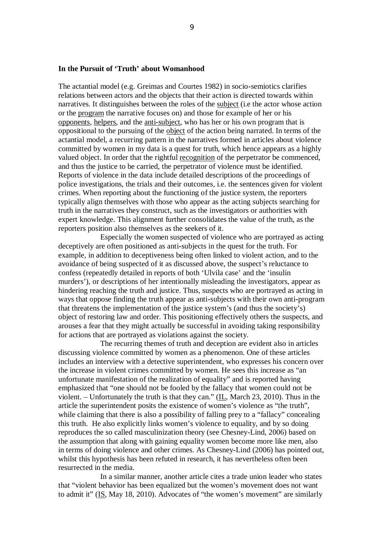#### **In the Pursuit of 'Truth' about Womanhood**

The actantial model (e.g. Greimas and Courtes 1982) in socio**-**semiotics clarifies relations between actors and the objects that their action is directed towards within narratives. It distinguishes between the roles of the subject (i.e the actor whose action or the program the narrative focuses on) and those for example of her or his opponents, helpers, and the anti-subject, who has her or his own program that is oppositional to the pursuing of the object of the action being narrated. In terms of the actantial model, a recurring pattern in the narratives formed in articles about violence committed by women in my data is a quest for truth, which hence appears as a highly valued object. In order that the rightful recognition of the perpetrator be commenced, and thus the justice to be carried, the perpetrator of violence must be identified. Reports of violence in the data include detailed descriptions of the proceedings of police investigations, the trials and their outcomes, i.e. the sentences given for violent crimes. When reporting about the functioning of the justice system, the reporters typically align themselves with those who appear as the acting subjects searching for truth in the narratives they construct, such as the investigators or authorities with expert knowledge. This alignment further consolidates the value of the truth, as the reporters position also themselves as the seekers of it.

Especially the women suspected of violence who are portrayed as acting deceptively are often positioned as anti**-**subjects in the quest for the truth. For example, in addition to deceptiveness being often linked to violent action, and to the avoidance of being suspected of it as discussed above, the suspect's reluctance to confess (repeatedly detailed in reports of both 'Ulvila case' and the 'insulin murders'), or descriptions of her intentionally misleading the investigators, appear as hindering reaching the truth and justice. Thus, suspects who are portrayed as acting in ways that oppose finding the truth appear as anti**-**subjects with their own anti**-**program that threatens the implementation of the justice system's (and thus the society's) object of restoring law and order. This positioning effectively others the suspects, and arouses a fear that they might actually be successful in avoiding taking responsibility for actions that are portrayed as violations against the society.

The recurring themes of truth and deception are evident also in articles discussing violence committed by women as a phenomenon. One of these articles includes an interview with a detective superintendent, who expresses his concern over the increase in violent crimes committed by women. He sees this increase as "an unfortunate manifestation of the realization of equality" and is reported having emphasized that "one should not be fooled by the fallacy that women could not be violent. – Unfortunately the truth is that they can." (IL, March 23, 2010). Thus in the article the superintendent posits the existence of women's violence as "the truth", while claiming that there is also a possibility of falling prey to a "fallacy" concealing this truth. He also explicitly links women's violence to equality, and by so doing reproduces the so called masculinization theory (see Chesney-Lind, 2006) based on the assumption that along with gaining equality women become more like men, also in terms of doing violence and other crimes. As Chesney-Lind (2006) has pointed out, whilst this hypothesis has been refuted in research, it has nevertheless often been resurrected in the media.

In a similar manner, another article cites a trade union leader who states that "violent behavior has been equalized but the women's movement does not want to admit it" (IS, May 18, 2010). Advocates of "the women's movement" are similarly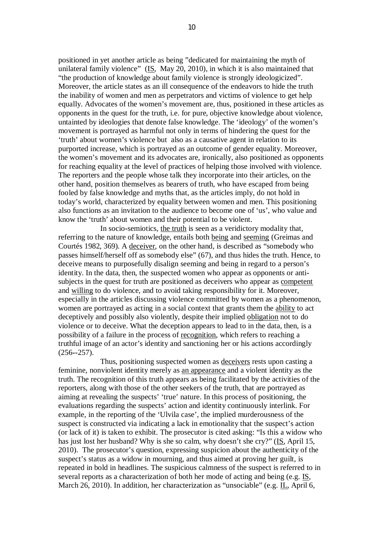positioned in yet another article as being "dedicated for maintaining the myth of unilateral family violence" (IS, May 20, 2010), in which it is also maintained that "the production of knowledge about family violence is strongly ideologicized". Moreover, the article states as an ill consequence of the endeavors to hide the truth the inability of women and men as perpetrators and victims of violence to get help equally. Advocates of the women's movement are, thus, positioned in these articles as opponents in the quest for the truth, i.e. for pure, objective knowledge about violence, untainted by ideologies that denote false knowledge. The 'ideology' of the women's movement is portrayed as harmful not only in terms of hindering the quest for the 'truth' about women's violence but also as a causative agent in relation to its purported increase, which is portrayed as an outcome of gender equality. Moreover, the women's movement and its advocates are, ironically, also positioned as opponents for reaching equality at the level of practices of helping those involved with violence. The reporters and the people whose talk they incorporate into their articles, on the other hand, position themselves as bearers of truth, who have escaped from being fooled by false knowledge and myths that, as the articles imply, do not hold in today's world, characterized by equality between women and men. This positioning also functions as an invitation to the audience to become one of 'us', who value and know the 'truth' about women and their potential to be violent.

In socio**-**semiotics, the truth is seen as a veridictory modality that, referring to the nature of knowledge, entails both being and seeming (Greimas and Courtés 1982, 369). A deceiver, on the other hand, is described as "somebody who passes himself/herself off as somebody else" (67), and thus hides the truth. Hence, to deceive means to purposefully disalign seeming and being in regard to a person's identity. In the data, then, the suspected women who appear as opponents or antisubjects in the quest for truth are positioned as deceivers who appear as competent and willing to do violence, and to avoid taking responsibility for it. Moreover, especially in the articles discussing violence committed by women as a phenomenon, women are portrayed as acting in a social context that grants them the ability to act deceptively and possibly also violently, despite their implied obligation not to do violence or to deceive. What the deception appears to lead to in the data, then, is a possibility of a failure in the process of recognition, which refers to reaching a truthful image of an actor's identity and sanctioning her or his actions accordingly (256**--**257).

Thus, positioning suspected women as deceivers rests upon casting a feminine, nonviolent identity merely as an appearance and a violent identity as the truth. The recognition of this truth appears as being facilitated by the activities of the reporters, along with those of the other seekers of the truth, that are portrayed as aiming at revealing the suspects' 'true' nature. In this process of positioning, the evaluations regarding the suspects' action and identity continuously interlink. For example, in the reporting of the 'Ulvila case', the implied murderousness of the suspect is constructed via indicating a lack in emotionality that the suspect's action (or lack of it) is taken to exhibit. The prosecutor is cited asking: "Is this a widow who has just lost her husband? Why is she so calm, why doesn't she cry?" (IS, April 15, 2010). The prosecutor's question, expressing suspicion about the authenticity of the suspect's status as a widow in mourning, and thus aimed at proving her guilt, is repeated in bold in headlines. The suspicious calmness of the suspect is referred to in several reports as a characterization of both her mode of acting and being (e.g. IS, March 26, 2010). In addition, her characterization as "unsociable" (e.g. IL, April 6,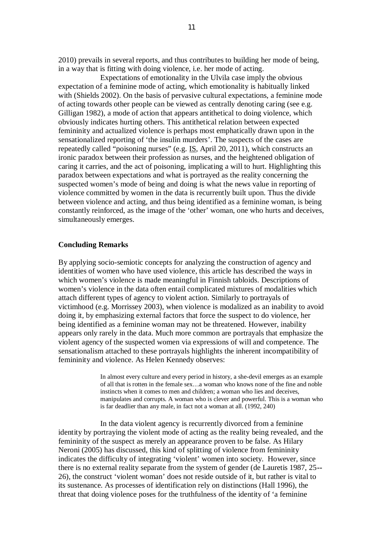2010) prevails in several reports, and thus contributes to building her mode of being, in a way that is fitting with doing violence, i.e. her mode of acting.

Expectations of emotionality in the Ulvila case imply the obvious expectation of a feminine mode of acting, which emotionality is habitually linked with (Shields 2002). On the basis of pervasive cultural expectations, a feminine mode of acting towards other people can be viewed as centrally denoting caring (see e.g. Gilligan 1982), a mode of action that appears antithetical to doing violence, which obviously indicates hurting others. This antithetical relation between expected femininity and actualized violence is perhaps most emphatically drawn upon in the sensationalized reporting of 'the insulin murders'. The suspects of the cases are repeatedly called "poisoning nurses" (e.g. IS, April 20, 2011), which constructs an ironic paradox between their profession as nurses, and the heightened obligation of caring it carries, and the act of poisoning, implicating a will to hurt. Highlighting this paradox between expectations and what is portrayed as the reality concerning the suspected women's mode of being and doing is what the news value in reporting of violence committed by women in the data is recurrently built upon. Thus the divide between violence and acting, and thus being identified as a feminine woman, is being constantly reinforced, as the image of the 'other' woman, one who hurts and deceives, simultaneously emerges.

## **Concluding Remarks**

By applying socio-semiotic concepts for analyzing the construction of agency and identities of women who have used violence, this article has described the ways in which women's violence is made meaningful in Finnish tabloids. Descriptions of women's violence in the data often entail complicated mixtures of modalities which attach different types of agency to violent action. Similarly to portrayals of victimhood (e.g. Morrissey 2003), when violence is modalized as an inability to avoid doing it, by emphasizing external factors that force the suspect to do violence, her being identified as a feminine woman may not be threatened. However, inability appears only rarely in the data. Much more common are portrayals that emphasize the violent agency of the suspected women via expressions of will and competence. The sensationalism attached to these portrayals highlights the inherent incompatibility of femininity and violence. As Helen Kennedy observes:

> In almost every culture and every period in history, a she-devil emerges as an example of all that is rotten in the female sex…a woman who knows none of the fine and noble instincts when it comes to men and children; a woman who lies and deceives, manipulates and corrupts. A woman who is clever and powerful. This is a woman who is far deadlier than any male, in fact not a woman at all. (1992, 240)

In the data violent agency is recurrently divorced from a feminine identity by portraying the violent mode of acting as the reality being revealed, and the femininity of the suspect as merely an appearance proven to be false. As Hilary Neroni (2005) has discussed, this kind of splitting of violence from femininity indicates the difficulty of integrating 'violent' women into society. However, since there is no external reality separate from the system of gender (de Lauretis 1987, 25**--** 26), the construct 'violent woman' does not reside outside of it, but rather is vital to its sustenance. As processes of identification rely on distinctions (Hall 1996), the threat that doing violence poses for the truthfulness of the identity of 'a feminine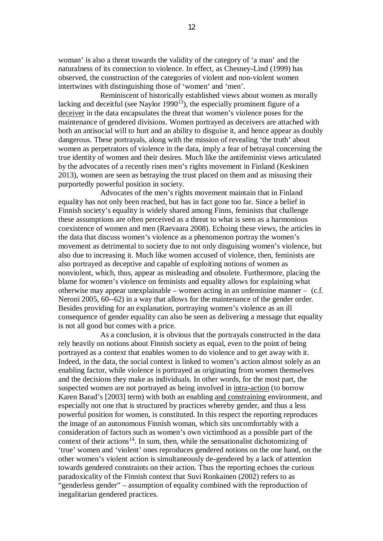woman' is also a threat towards the validity of the category of 'a man' and the naturalness of its connection to violence. In effect, as Chesney**-**Lind (1999) has observed, the construction of the categories of violent and non-violent women intertwines with distinguishing those of 'women' and 'men'.

<span id="page-12-0"></span>Reminiscent of historically established views about women as morally lacking and deceitful (see Naylor 1990<sup>[13](#page-13-11)</sup>), the especially prominent figure of a deceiver in the data encapsulates the threat that women's violence poses for the maintenance of gendered divisions. Women portrayed as deceivers are attached with both an antisocial will to hurt and an ability to disguise it, and hence appear as doubly dangerous. These portrayals, along with the mission of revealing 'the truth' about women as perpetrators of violence in the data, imply a fear of betrayal concerning the true identity of women and their desires. Much like the antifeminist views articulated by the advocates of a recently risen men's rights movement in Finland (Keskinen 2013), women are seen as betraying the trust placed on them and as misusing their purportedly powerful position in society.

Advocates of the men's rights movement maintain that in Finland equality has not only been reached, but has in fact gone too far. Since a belief in Finnish society's equality is widely shared among Finns, feminists that challenge these assumptions are often perceived as a threat to what is seen as a harmonious coexistence of women and men (Raevaara 2008). Echoing these views, the articles in the data that discuss women's violence as a phenomenon portray the women's movement as detrimental to society due to not only disguising women's violence, but also due to increasing it. Much like women accused of violence, then, feminists are also portrayed as deceptive and capable of exploiting notions of women as nonviolent, which, thus, appear as misleading and obsolete. Furthermore, placing the blame for women's violence on feminists and equality allows for explaining what otherwise may appear unexplainable – women acting in an unfeminine manner –  $(c.f.)$ Neroni 2005, 60--62) in a way that allows for the maintenance of the gender order. Besides providing for an explanation, portraying women's violence as an ill consequence of gender equality can also be seen as delivering a message that equality is not all good but comes with a price.

As a conclusion, it is obvious that the portrayals constructed in the data rely heavily on notions about Finnish society as equal, even to the point of being portrayed as a context that enables women to do violence and to get away with it. Indeed, in the data, the social context is linked to women's action almost solely as an enabling factor, while violence is portrayed as originating from women themselves and the decisions they make as individuals. In other words, for the most part, the suspected women are not portrayed as being involved in intra**-**action (to borrow Karen Barad's [2003] term) with both an enabling and constraining environment, and especially not one that is structured by practices whereby gender, and thus a less powerful position for women, is constituted. In this respect the reporting reproduces the image of an autonomous Finnish woman, which sits uncomfortably with a consideration of factors such as women's own victimhood as a possible part of the context of their actions<sup>[14](#page-13-12)</sup>. In sum, then, while the sensationalist dichotomizing of 'true' women and 'violent' ones reproduces gendered notions on the one hand, on the other women's violent action is simultaneously de**-**gendered by a lack of attention towards gendered constraints on their action. Thus the reporting echoes the curious paradoxicality of the Finnish context that Suvi Ronkainen (2002) refers to as "genderless gender" – assumption of equality combined with the reproduction of inegalitarian gendered practices.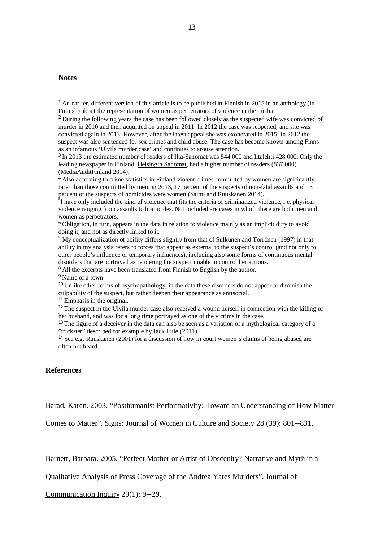#### **Notes**

<span id="page-13-6"></span><sup>8</sup> All the excerpts have been translated from Finnish to English by the author.

<span id="page-13-7"></span><sup>9</sup> Name of a town.

<span id="page-13-8"></span><sup>10</sup> Unlike other forms of psychopathology, in the data these disorders do not appear to diminish the culpability of the suspect, but rather deepen their appearance as antisocial.

<span id="page-13-9"></span><sup>11</sup> Emphasis in the original.

<span id="page-13-10"></span><sup>12</sup> The suspect in the Ulvila murder case also received a wound herself in connection with the killing of her husband, and was for a long time portrayed as one of the victims in the case.

<span id="page-13-11"></span><sup>13</sup> The figure of a deceiver in the data can also be seen as a variation of a mythological category of a "trickster" described for example by Jack Lule (2011).

<span id="page-13-12"></span><sup>14</sup> See e.g. Ruuskanen (2001) for a discussion of how in court women's claims of being abused are often not heard.

# **References**

Barad, Karen. 2003. "Posthumanist Performativity: Toward an Understanding of How Matter

Comes to Matter". Signs: Journal of Women in Culture and Society 28 (39): 801**--**831.

Barnett, Barbara. 2005. "Perfect Mother or Artist of Obscenity? Narrative and Myth in a

Qualitative Analysis of Press Coverage of the Andrea Yates Murders". Journal of

Communication Inquiry 29(1): 9**--**29.

<sup>&</sup>lt;sup>1</sup> An earlier, different version of this article is to be published in Finnish in 2015 in an anthology (in Finnish) about the representation of women as perpetrators of violence in the media.

<span id="page-13-0"></span><sup>&</sup>lt;sup>2</sup> During the following years the case has been followed closely as the suspected wife was convicted of murder in 2010 and then acquitted on appeal in 2011. In 2012 the case was reopened, and she was convicted again in 2013. However, after the latest appeal she was exonerated in 2015. In 2012 the suspect was also sentenced for sex crimes and child abuse. The case has become known among Finns as an infamous 'Ulvila murder case' and continues to arouse attention.

<span id="page-13-1"></span><sup>&</sup>lt;sup>3</sup> In 2013 the estimated number of readers of <u>Ilta-Sanomat</u> was 544 000 and Iltalehti 428 000. Only the leading newspaper in Finland, Helsingin Sanomat, had a higher number of readers (837 000) (MediaAuditFinland 2014).

<span id="page-13-2"></span><sup>&</sup>lt;sup>4</sup> Also according to crime statistics in Finland violent crimes committed by women are significantly rarer than those committed by men; in 2013, 17 percent of the suspects of non-fatal assaults and 13 percent of the suspects of homicides were women (Salmi and Ruuskanen 2014).

<span id="page-13-3"></span><sup>&</sup>lt;sup>5</sup>I have only included the kind of violence that fits the criteria of criminalized violence, i.e. physical violence ranging from assaults to homicides. Not included are cases in which there are both men and women as perpetrators.

<span id="page-13-4"></span><sup>6</sup> Obligation, in turn, appears in the data in relation to violence mainly as an implicit duty to avoid doing it, and not as directly linked to it.

<span id="page-13-5"></span><sup>&</sup>lt;sup>7</sup> My conceptualization of ability differs slightly from that of Sulkunen and Törrönen (1997) in that ability in my analysis refers to forces that appear as external to the suspect's control (and not only to other people's influence or temporary influences), including also some forms of continuous mental disorders that are portrayed as rendering the suspect unable to control her actions.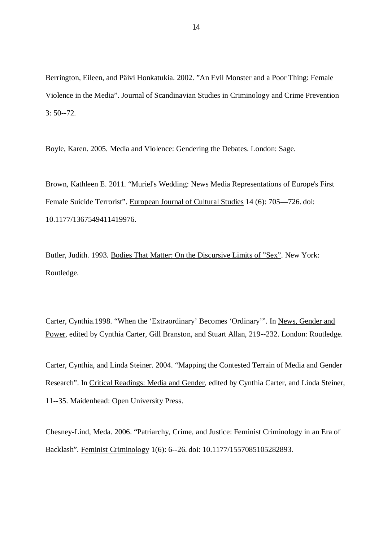Berrington, Eileen, and Päivi Honkatukia. 2002. "An Evil Monster and a Poor Thing: Female Violence in the Media". Journal of Scandinavian Studies in Criminology and Crime Prevention 3: 50**--**72.

Boyle, Karen. 2005. Media and Violence: Gendering the Debates. London: Sage.

Brown, Kathleen E. 2011. "Muriel's Wedding: News Media Representations of Europe's First Female Suicide Terrorist". European Journal of Cultural Studies 14 (6): 705**—**726. doi: 10.1177/1367549411419976.

Butler, Judith. 1993. Bodies That Matter: On the Discursive Limits of "Sex". New York: Routledge.

Carter, Cynthia.1998. "When the 'Extraordinary' Becomes 'Ordinary'". In News, Gender and Power, edited by Cynthia Carter, Gill Branston, and Stuart Allan, 219**--**232. London: Routledge.

Carter, Cynthia, and Linda Steiner. 2004. "Mapping the Contested Terrain of Media and Gender Research". In Critical Readings: Media and Gender, edited by Cynthia Carter, and Linda Steiner, 11**--**35. Maidenhead: Open University Press.

Chesney**-**Lind, Meda. 2006. "Patriarchy, Crime, and Justice: Feminist Criminology in an Era of Backlash". Feminist Criminology 1(6): 6**--**26. doi: 10.1177/1557085105282893.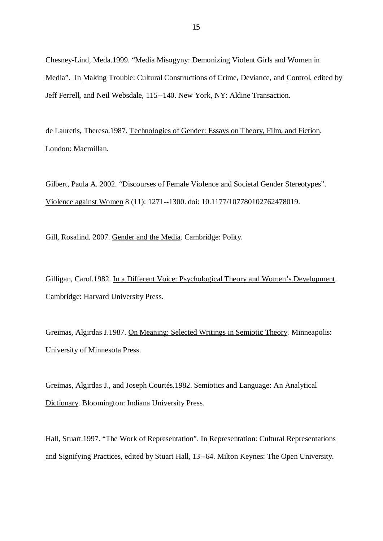Chesney-Lind, Meda.1999. "Media Misogyny: Demonizing Violent Girls and Women in Media". In Making Trouble: Cultural Constructions of Crime, Deviance, and Control, edited by Jeff Ferrell, and Neil Websdale, 115**--**140. New York, NY: Aldine Transaction.

de Lauretis, Theresa.1987. Technologies of Gender: Essays on Theory, Film, and Fiction. London: Macmillan.

Gilbert, Paula A. 2002. "Discourses of Female Violence and Societal Gender Stereotypes". Violence against Women 8 (11): 1271**--**1300. doi: 10.1177/107780102762478019.

Gill, Rosalind. 2007. Gender and the Media. Cambridge: Polity.

Gilligan, Carol.1982. In a Different Voice: Psychological Theory and Women's Development. Cambridge: Harvard University Press.

Greimas, Algirdas J.1987. On Meaning: Selected Writings in Semiotic Theory*.* Minneapolis: University of Minnesota Press.

Greimas, Algirdas J., and Joseph Courtés.1982. Semiotics and Language: An Analytical Dictionary. Bloomington: Indiana University Press.

Hall, Stuart.1997. "The Work of Representation". In Representation: Cultural Representations and Signifying Practices, edited by Stuart Hall, 13**--**64. Milton Keynes: The Open University.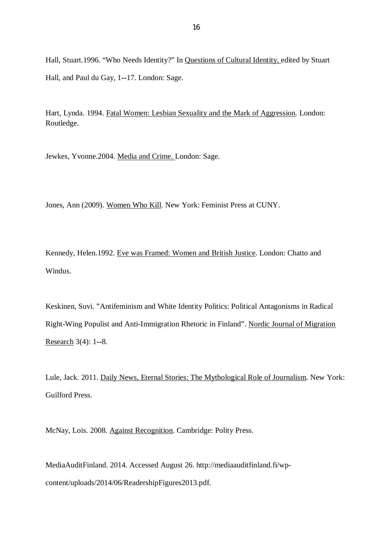Hall, Stuart.1996. "Who Needs Identity?" In Questions of Cultural Identity, edited by Stuart Hall, and Paul du Gay, 1**--**17. London: Sage.

Hart, Lynda. 1994. Fatal Women: Lesbian Sexuality and the Mark of Aggression. London: Routledge.

Jewkes, Yvonne.2004. Media and Crime. London: Sage.

Jones, Ann (2009). Women Who Kill. New York: Feminist Press at CUNY.

Kennedy, Helen.1992. Eve was Framed: Women and British Justice. London: Chatto and Windus.

Keskinen, Suvi. "Antifeminism and White Identity Politics: Political Antagonisms in Radical Right-Wing Populist and Anti-Immigration Rhetoric in Finland". Nordic Journal of Migration Research 3(4): 1**--**8.

Lule, Jack. 2011. Daily News, Eternal Stories: The Mythological Role of Journalism. New York: Guilford Press.

McNay, Lois. 2008. Against Recognition. Cambridge: Polity Press.

MediaAuditFinland. 2014. Accessed August 26. http://mediaauditfinland.fi/wpcontent/uploads/2014/06/ReadershipFigures2013.pdf.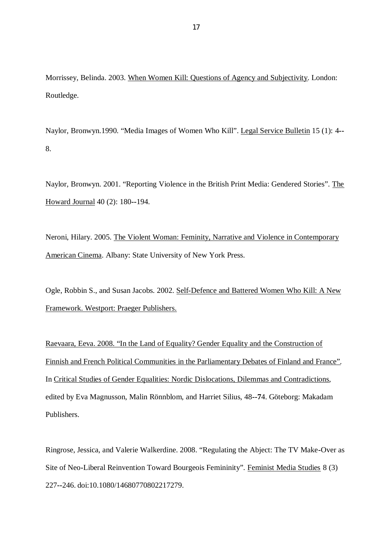Morrissey, Belinda. 2003. When Women Kill: Questions of Agency and Subjectivity. London: Routledge.

Naylor, Bronwyn.1990. "Media Images of Women Who Kill". Legal Service Bulletin 15 (1): 4**--** 8.

Naylor, Bronwyn. 2001. "Reporting Violence in the British Print Media: Gendered Stories". The Howard Journal 40 (2): 180**--**194.

Neroni, Hilary. 2005. The Violent Woman: Feminity, Narrative and Violence in Contemporary American Cinema. Albany: State University of New York Press.

Ogle, Robbin S., and Susan Jacobs. 2002. Self-Defence and Battered Women Who Kill: A New Framework. Westport: Praeger Publishers.

Raevaara, Eeva. 2008. "In the Land of Equality? Gender Equality and the Construction of Finnish and French Political Communities in the Parliamentary Debates of Finland and France". In Critical Studies of Gender Equalities: Nordic Dislocations, Dilemmas and Contradictions, edited by Eva Magnusson, Malin Rönnblom, and Harriet Silius, 48**--7**4. Göteborg: Makadam Publishers.

Ringrose, Jessica, and Valerie Walkerdine. 2008. "Regulating the Abject: The TV Make**-**Over as Site of Neo**-**Liberal Reinvention Toward Bourgeois Femininity". Feminist Media Studies 8 (3) 227**--**246. doi:10.1080/14680770802217279.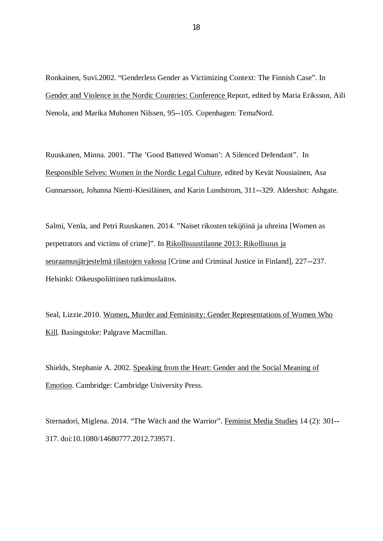Ronkainen, Suvi.2002. "Genderless Gender as Victimizing Context: The Finnish Case". In Gender and Violence in the Nordic Countries: Conference Report, edited by Maria Eriksson, Aili Nenola, and Marika Muhonen Nilssen*,* 95**--**105. Copenhagen: TemaNord.

Ruuskanen, Minna. 2001. "The 'Good Battered Woman': A Silenced Defendant". In Responsible Selves: Women in the Nordic Legal Culture, edited by Kevät Nousiainen, Asa Gunnarsson, Johanna Niemi-Kiesiläinen, and Karin Lundstrom, 311**--**329. Aldershot: Ashgate.

Salmi, Venla, and Petri Ruuskanen. 2014. "Naiset rikosten tekijöinä ja uhreina [Women as perpetrators and victims of crime]". In Rikollisuustilanne 2013: Rikollisuus ja seuraamusjärjestelmä tilastojen valossa [Crime and Criminal Justice in Finland], 227**--**237. Helsinki: Oikeuspoliittinen tutkimuslaitos.

Seal, Lizzie.2010. Women, Murder and Femininity: Gender Representations of Women Who Kill. Basingstoke: Palgrave Macmillan.

Shields, Stephanie A. 2002. Speaking from the Heart: Gender and the Social Meaning of Emotion. Cambridge: Cambridge University Press.

Sternadori, Miglena. 2014. "The Witch and the Warrior". Feminist Media Studies 14 (2): 301**--** 317. doi:10.1080/14680777.2012.739571.